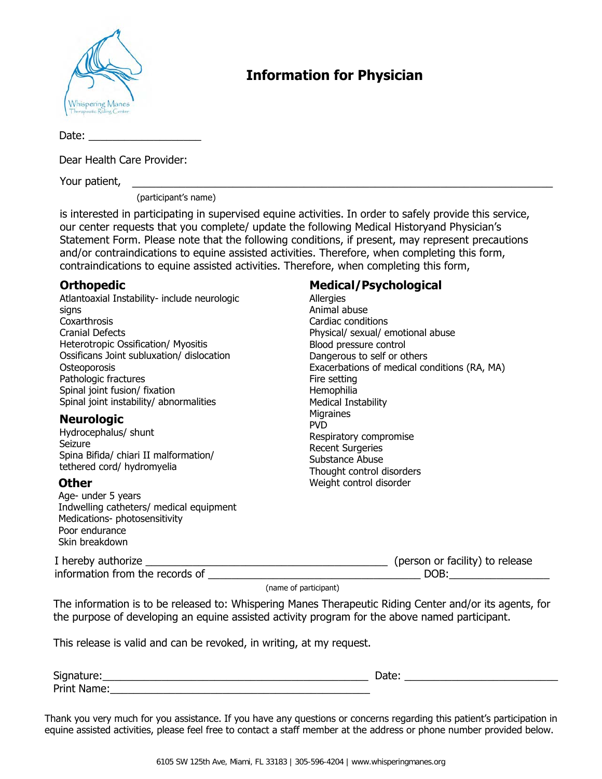

# **Information for Physician**

Date:

Dear Health Care Provider:

Your patient, \_\_\_\_\_\_\_\_\_\_\_\_\_\_\_\_\_\_\_\_\_\_\_\_\_\_\_\_\_\_\_\_\_\_\_\_\_\_\_\_\_\_\_\_\_\_\_\_\_\_\_\_\_\_\_\_\_\_\_\_\_\_\_\_\_\_\_\_\_\_\_

(participant's name)

is interested in participating in supervised equine activities. In order to safely provide this service, our center requests that you complete/ update the following Medical Historyand Physician's Statement Form. Please note that the following conditions, if present, may represent precautions and/or contraindications to equine assisted activities. Therefore, when completing this form, contraindications to equine assisted activities. Therefore, when completing this form,

### **Orthopedic**

Atlantoaxial Instability- include neurologic signs **Coxarthrosis** Cranial Defects Heterotropic Ossification/ Myositis Ossificans Joint subluxation/ dislocation **Osteoporosis** Pathologic fractures Spinal joint fusion/ fixation Spinal joint instability/ abnormalities

#### **Neurologic**

Hydrocephalus/ shunt Seizure Spina Bifida/ chiari II malformation/ tethered cord/ hydromyelia

#### **Other**

Age- under 5 years Indwelling catheters/ medical equipment Medications- photosensitivity Poor endurance Skin breakdown

#### **Medical/Psychological**

Allergies Animal abuse Cardiac conditions Physical/ sexual/ emotional abuse Blood pressure control Dangerous to self or others Exacerbations of medical conditions (RA, MA) Fire setting Hemophilia Medical Instability **Migraines** PVD Respiratory compromise Recent Surgeries Substance Abuse Thought control disorders Weight control disorder

| I hereby authorize              | (person or facility) to release |
|---------------------------------|---------------------------------|
| information from the records of | DOB:                            |

(name of participant)

The information is to be released to: Whispering Manes Therapeutic Riding Center and/or its agents, for the purpose of developing an equine assisted activity program for the above named participant.

This release is valid and can be revoked, in writing, at my request.

| $\sim$<br>Signature. | - acc |
|----------------------|-------|
| Print<br>ame.        |       |

Thank you very much for you assistance. If you have any questions or concerns regarding this patient's participation in equine assisted activities, please feel free to contact a staff member at the address or phone number provided below.